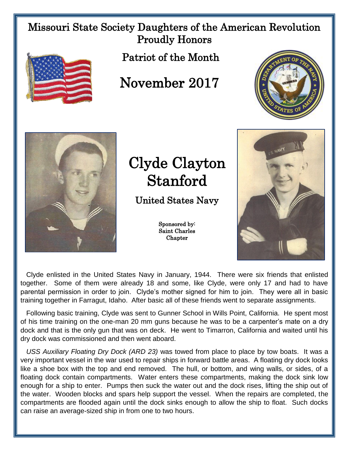## Missouri State Society Daughters of the American Revolution Proudly Honors



Patriot of the Month

## November 2017





## Clyde Clayton Stanford

United States Navy

Sponsored by: Saint Charles **Chapter** 



 Clyde enlisted in the United States Navy in January, 1944. There were six friends that enlisted together. Some of them were already 18 and some, like Clyde, were only 17 and had to have parental permission in order to join. Clyde's mother signed for him to join. They were all in basic training together in Farragut, Idaho. After basic all of these friends went to separate assignments.

 Following basic training, Clyde was sent to Gunner School in Wills Point, California. He spent most of his time training on the one-man 20 mm guns because he was to be a carpenter's mate on a dry dock and that is the only gun that was on deck. He went to Timarron, California and waited until his dry dock was commissioned and then went aboard.

 *USS Auxiliary Floating Dry Dock (ARD 23)* was towed from place to place by tow boats. It was a very important vessel in the war used to repair ships in forward battle areas. A floating dry dock looks like a shoe box with the top and end removed. The hull, or bottom, and wing walls, or sides, of a floating dock contain compartments. Water enters these compartments, making the dock sink low enough for a ship to enter. Pumps then suck the water out and the dock rises, lifting the ship out of the water. Wooden blocks and spars help support the vessel. When the repairs are completed, the compartments are flooded again until the dock sinks enough to allow the ship to float. Such docks can raise an average-sized ship in from one to two hours.